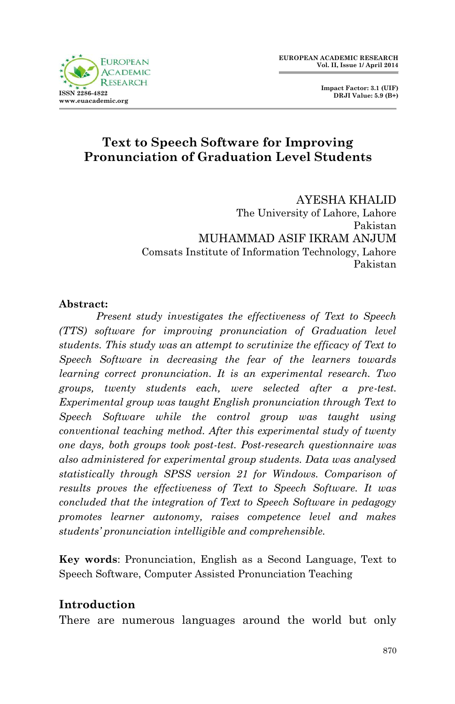**Impact Factor: 3.1 (UIF) DRJI Value: 5.9 (B+)**

# **Text to Speech Software for Improving Pronunciation of Graduation Level Students**

AYESHA KHALID The University of Lahore, Lahore Pakistan MUHAMMAD ASIF IKRAM ANJUM Comsats Institute of Information Technology, Lahore Pakistan

### **Abstract:**

*Present study investigates the effectiveness of Text to Speech (TTS) software for improving pronunciation of Graduation level students. This study was an attempt to scrutinize the efficacy of Text to Speech Software in decreasing the fear of the learners towards learning correct pronunciation. It is an experimental research. Two groups, twenty students each, were selected after a pre-test. Experimental group was taught English pronunciation through Text to Speech Software while the control group was taught using conventional teaching method. After this experimental study of twenty one days, both groups took post-test. Post-research questionnaire was also administered for experimental group students. Data was analysed statistically through SPSS version 21 for Windows. Comparison of results proves the effectiveness of Text to Speech Software. It was concluded that the integration of Text to Speech Software in pedagogy promotes learner autonomy, raises competence level and makes students' pronunciation intelligible and comprehensible.*

**Key words**: Pronunciation, English as a Second Language, Text to Speech Software, Computer Assisted Pronunciation Teaching

### **Introduction**

There are numerous languages around the world but only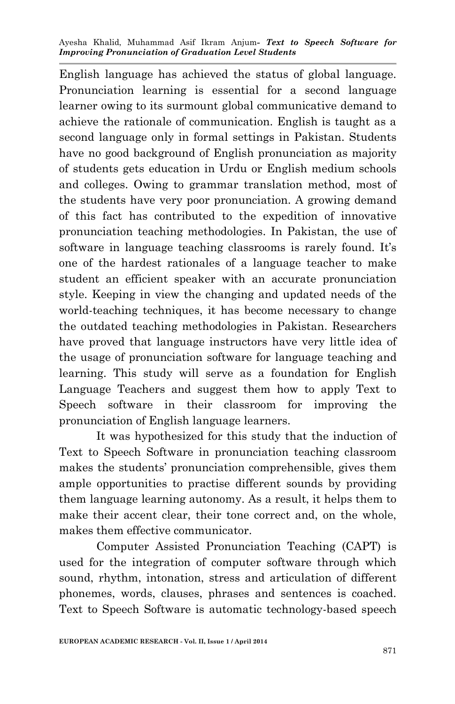English language has achieved the status of global language. Pronunciation learning is essential for a second language learner owing to its surmount global communicative demand to achieve the rationale of communication. English is taught as a second language only in formal settings in Pakistan. Students have no good background of English pronunciation as majority of students gets education in Urdu or English medium schools and colleges. Owing to grammar translation method, most of the students have very poor pronunciation. A growing demand of this fact has contributed to the expedition of innovative pronunciation teaching methodologies. In Pakistan, the use of software in language teaching classrooms is rarely found. It's one of the hardest rationales of a language teacher to make student an efficient speaker with an accurate pronunciation style. Keeping in view the changing and updated needs of the world-teaching techniques, it has become necessary to change the outdated teaching methodologies in Pakistan. Researchers have proved that language instructors have very little idea of the usage of pronunciation software for language teaching and learning. This study will serve as a foundation for English Language Teachers and suggest them how to apply Text to Speech software in their classroom for improving the pronunciation of English language learners.

It was hypothesized for this study that the induction of Text to Speech Software in pronunciation teaching classroom makes the students' pronunciation comprehensible, gives them ample opportunities to practise different sounds by providing them language learning autonomy. As a result, it helps them to make their accent clear, their tone correct and, on the whole, makes them effective communicator.

Computer Assisted Pronunciation Teaching (CAPT) is used for the integration of computer software through which sound, rhythm, intonation, stress and articulation of different phonemes, words, clauses, phrases and sentences is coached. Text to Speech Software is automatic technology-based speech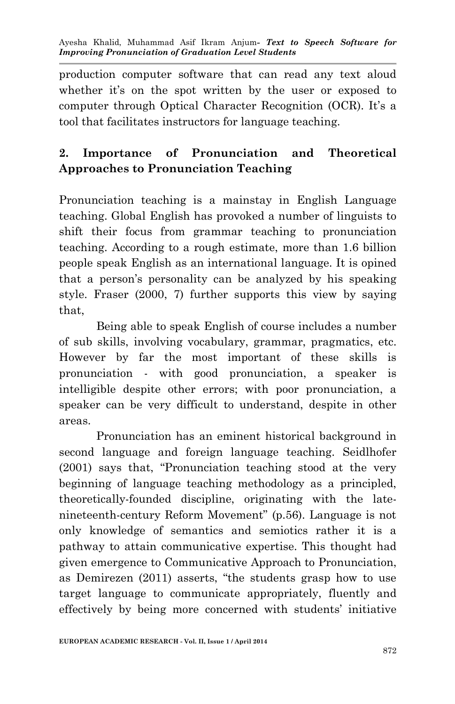production computer software that can read any text aloud whether it's on the spot written by the user or exposed to computer through Optical Character Recognition (OCR). It's a tool that facilitates instructors for language teaching.

# **2. Importance of Pronunciation and Theoretical Approaches to Pronunciation Teaching**

Pronunciation teaching is a mainstay in English Language teaching. Global English has provoked a number of linguists to shift their focus from grammar teaching to pronunciation teaching. According to a rough estimate, more than 1.6 billion people speak English as an international language. It is opined that a person's personality can be analyzed by his speaking style. Fraser (2000, 7) further supports this view by saying that,

Being able to speak English of course includes a number of sub skills, involving vocabulary, grammar, pragmatics, etc. However by far the most important of these skills is pronunciation - with good pronunciation, a speaker is intelligible despite other errors; with poor pronunciation, a speaker can be very difficult to understand, despite in other areas.

Pronunciation has an eminent historical background in second language and foreign language teaching. Seidlhofer (2001) says that, "Pronunciation teaching stood at the very beginning of language teaching methodology as a principled, theoretically-founded discipline, originating with the latenineteenth-century Reform Movement" (p.56). Language is not only knowledge of semantics and semiotics rather it is a pathway to attain communicative expertise. This thought had given emergence to Communicative Approach to Pronunciation, as Demirezen (2011) asserts, "the students grasp how to use target language to communicate appropriately, fluently and effectively by being more concerned with students' initiative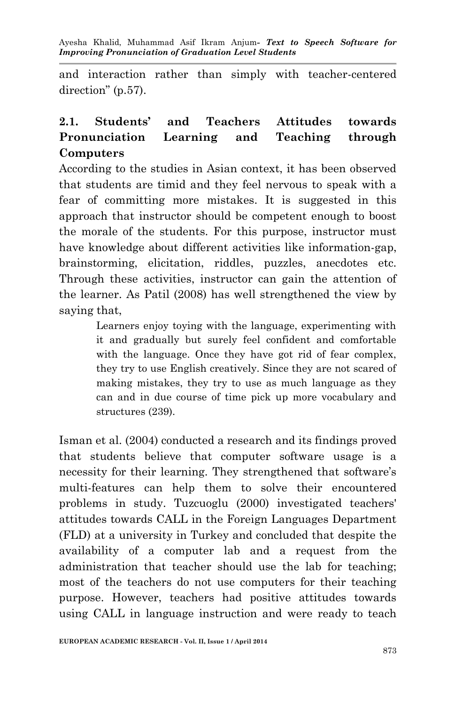and interaction rather than simply with teacher-centered direction" (p.57).

# **2.1. Students' and Teachers Attitudes towards Pronunciation Learning and Teaching through Computers**

According to the studies in Asian context, it has been observed that students are timid and they feel nervous to speak with a fear of committing more mistakes. It is suggested in this approach that instructor should be competent enough to boost the morale of the students. For this purpose, instructor must have knowledge about different activities like information-gap, brainstorming, elicitation, riddles, puzzles, anecdotes etc. Through these activities, instructor can gain the attention of the learner. As Patil (2008) has well strengthened the view by saying that,

> Learners enjoy toying with the language, experimenting with it and gradually but surely feel confident and comfortable with the language. Once they have got rid of fear complex, they try to use English creatively. Since they are not scared of making mistakes, they try to use as much language as they can and in due course of time pick up more vocabulary and structures (239).

Isman et al. (2004) conducted a research and its findings proved that students believe that computer software usage is a necessity for their learning. They strengthened that software's multi-features can help them to solve their encountered problems in study. Tuzcuoglu (2000) investigated teachers' attitudes towards CALL in the Foreign Languages Department (FLD) at a university in Turkey and concluded that despite the availability of a computer lab and a request from the administration that teacher should use the lab for teaching; most of the teachers do not use computers for their teaching purpose. However, teachers had positive attitudes towards using CALL in language instruction and were ready to teach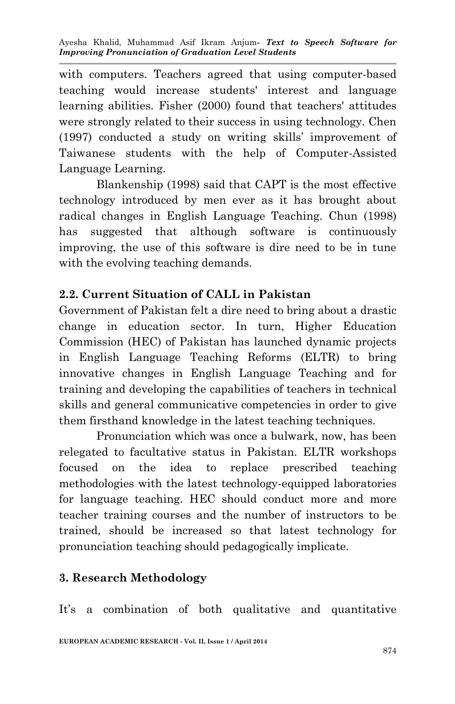with computers. Teachers agreed that using computer-based teaching would increase students' interest and language learning abilities. Fisher (2000) found that teachers' attitudes were strongly related to their success in using technology. Chen (1997) conducted a study on writing skills' improvement of Taiwanese students with the help of Computer-Assisted Language Learning.

Blankenship (1998) said that CAPT is the most effective technology introduced by men ever as it has brought about radical changes in English Language Teaching. Chun (1998) has suggested that although software is continuously improving, the use of this software is dire need to be in tune with the evolving teaching demands.

# **2.2. Current Situation of CALL in Pakistan**

Government of Pakistan felt a dire need to bring about a drastic change in education sector. In turn, Higher Education Commission (HEC) of Pakistan has launched dynamic projects in English Language Teaching Reforms (ELTR) to bring innovative changes in English Language Teaching and for training and developing the capabilities of teachers in technical skills and general communicative competencies in order to give them firsthand knowledge in the latest teaching techniques.

Pronunciation which was once a bulwark, now, has been relegated to facultative status in Pakistan. ELTR workshops focused on the idea to replace prescribed teaching methodologies with the latest technology-equipped laboratories for language teaching. HEC should conduct more and more teacher training courses and the number of instructors to be trained, should be increased so that latest technology for pronunciation teaching should pedagogically implicate.

### **3. Research Methodology**

It's a combination of both qualitative and quantitative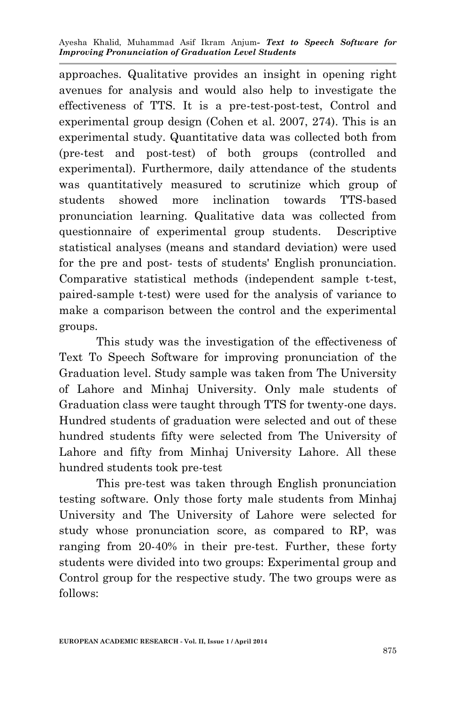approaches. Qualitative provides an insight in opening right avenues for analysis and would also help to investigate the effectiveness of TTS. It is a pre-test-post-test, Control and experimental group design (Cohen et al. 2007, 274). This is an experimental study. Quantitative data was collected both from (pre-test and post-test) of both groups (controlled and experimental). Furthermore, daily attendance of the students was quantitatively measured to scrutinize which group of students showed more inclination towards TTS-based pronunciation learning. Qualitative data was collected from questionnaire of experimental group students. Descriptive statistical analyses (means and standard deviation) were used for the pre and post- tests of students' English pronunciation. Comparative statistical methods (independent sample t-test, paired-sample t-test) were used for the analysis of variance to make a comparison between the control and the experimental groups.

This study was the investigation of the effectiveness of Text To Speech Software for improving pronunciation of the Graduation level. Study sample was taken from The University of Lahore and Minhaj University. Only male students of Graduation class were taught through TTS for twenty-one days. Hundred students of graduation were selected and out of these hundred students fifty were selected from The University of Lahore and fifty from Minhaj University Lahore. All these hundred students took pre-test

This pre-test was taken through English pronunciation testing software. Only those forty male students from Minhaj University and The University of Lahore were selected for study whose pronunciation score, as compared to RP, was ranging from 20-40% in their pre-test. Further, these forty students were divided into two groups: Experimental group and Control group for the respective study. The two groups were as follows: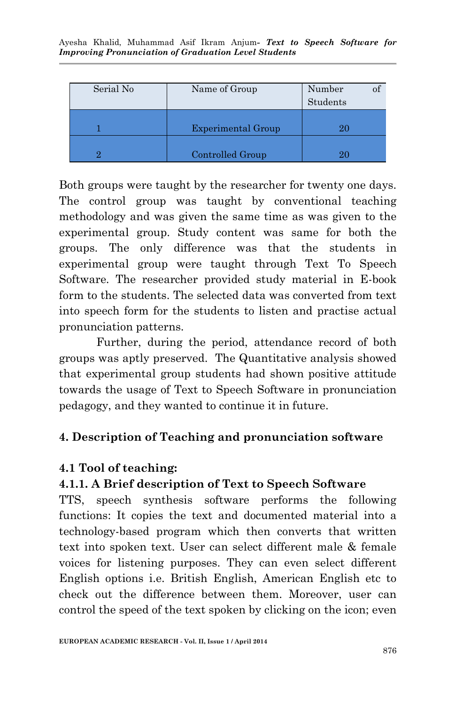| Serial No | Name of Group             | Number<br>Students |  |
|-----------|---------------------------|--------------------|--|
|           | <b>Experimental Group</b> | 20                 |  |
|           | Controlled Group          | 20                 |  |

Both groups were taught by the researcher for twenty one days. The control group was taught by conventional teaching methodology and was given the same time as was given to the experimental group. Study content was same for both the groups. The only difference was that the students in experimental group were taught through Text To Speech Software. The researcher provided study material in E-book form to the students. The selected data was converted from text into speech form for the students to listen and practise actual pronunciation patterns.

Further, during the period, attendance record of both groups was aptly preserved. The Quantitative analysis showed that experimental group students had shown positive attitude towards the usage of Text to Speech Software in pronunciation pedagogy, and they wanted to continue it in future.

# **4. Description of Teaching and pronunciation software**

### **4.1 Tool of teaching:**

# **4.1.1. A Brief description of Text to Speech Software**

TTS, speech synthesis software performs the following functions: It copies the text and documented material into a technology-based program which then converts that written text into spoken text. User can select different male & female voices for listening purposes. They can even select different English options i.e. British English, American English etc to check out the difference between them. Moreover, user can control the speed of the text spoken by clicking on the icon; even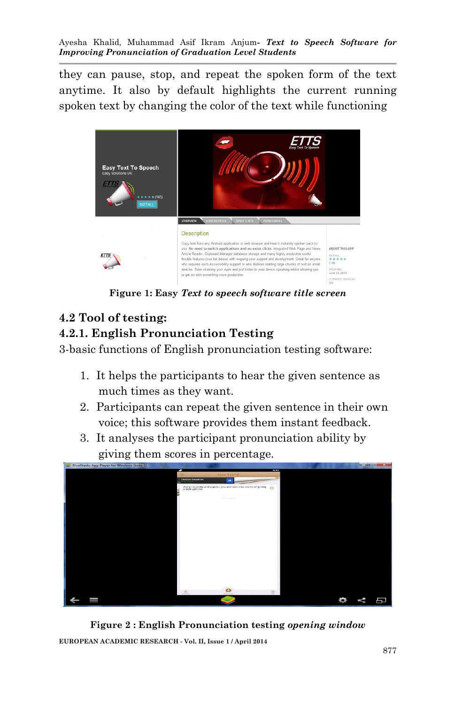they can pause, stop, and repeat the spoken form of the text anytime. It also by default highlights the current running spoken text by changing the color of the text while functioning



**Figure 1: Easy** *Text to speech software title screen*

#### **4.2 Tool of testing: 4.2.1. English Pronunciation Testing**

3-basic functions of English pronunciation testing software:

- 1. It helps the participants to hear the given sentence as much times as they want.
- 2. Participants can repeat the given sentence in their own voice; this software provides them instant feedback.
- 3. It analyses the participant pronunciation ability by giving them scores in percentage.



**Figure 2 : English Pronunciation testing** *opening window*

**EUROPEAN ACADEMIC RESEARCH - Vol. II, Issue 1 / April 2014**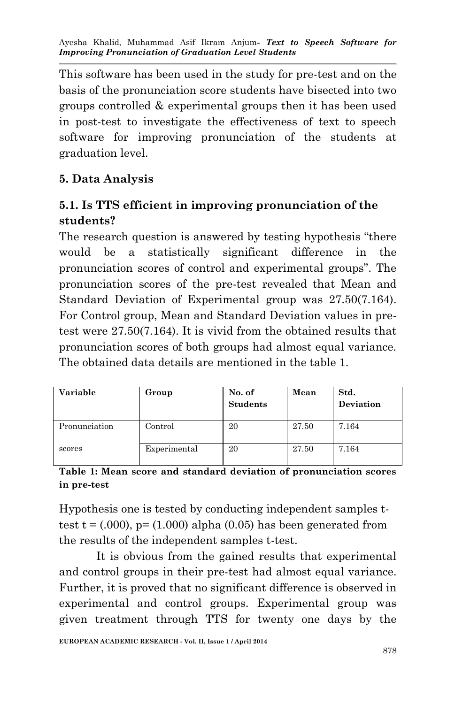This software has been used in the study for pre-test and on the basis of the pronunciation score students have bisected into two groups controlled & experimental groups then it has been used in post-test to investigate the effectiveness of text to speech software for improving pronunciation of the students at graduation level.

# **5. Data Analysis**

# **5.1. Is TTS efficient in improving pronunciation of the students?**

The research question is answered by testing hypothesis "there would be a statistically significant difference in the pronunciation scores of control and experimental groups". The pronunciation scores of the pre-test revealed that Mean and Standard Deviation of Experimental group was 27.50(7.164). For Control group, Mean and Standard Deviation values in pretest were 27.50(7.164). It is vivid from the obtained results that pronunciation scores of both groups had almost equal variance. The obtained data details are mentioned in the table 1.

| Variable<br>Group |              | No. of<br><b>Students</b> | Mean  | Std.<br><b>Deviation</b> |  |  |
|-------------------|--------------|---------------------------|-------|--------------------------|--|--|
| Pronunciation     | Control      | 20                        | 27.50 | 7.164                    |  |  |
| scores            | Experimental | 20                        | 27.50 | 7.164                    |  |  |

**Table 1: Mean score and standard deviation of pronunciation scores in pre-test**

Hypothesis one is tested by conducting independent samples ttest t =  $(.000)$ , p=  $(1.000)$  alpha  $(0.05)$  has been generated from the results of the independent samples t-test.

It is obvious from the gained results that experimental and control groups in their pre-test had almost equal variance. Further, it is proved that no significant difference is observed in experimental and control groups. Experimental group was given treatment through TTS for twenty one days by the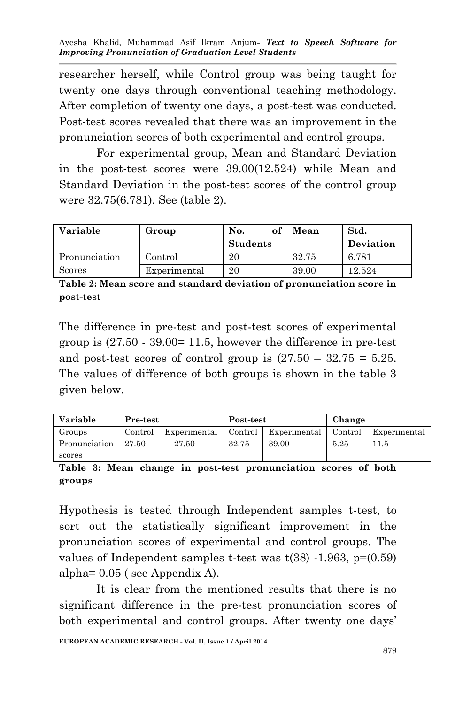researcher herself, while Control group was being taught for twenty one days through conventional teaching methodology. After completion of twenty one days, a post-test was conducted. Post-test scores revealed that there was an improvement in the pronunciation scores of both experimental and control groups.

For experimental group, Mean and Standard Deviation in the post-test scores were 39.00(12.524) while Mean and Standard Deviation in the post-test scores of the control group were 32.75(6.781). See (table 2).

| Variable      | Group        | of<br>No.       | Mean  | Std.      |
|---------------|--------------|-----------------|-------|-----------|
|               |              | <b>Students</b> |       | Deviation |
| Pronunciation | Control      | 20              | 32.75 | 6.781     |
| Scores        | Experimental | 20              | 39.00 | 12.524    |

**Table 2: Mean score and standard deviation of pronunciation score in post-test**

The difference in pre-test and post-test scores of experimental group is  $(27.50 \cdot 39.00 = 11.5$ , however the difference in pre-test and post-test scores of control group is  $(27.50 - 32.75 = 5.25$ . The values of difference of both groups is shown in the table 3 given below.

| Variable      | Pre-test |              | Post-test |              | Change  |              |
|---------------|----------|--------------|-----------|--------------|---------|--------------|
| Groups        | Control  | Experimental | Control   | Experimental | Control | Experimental |
| Pronunciation | 27.50    | 27.50        | 32.75     | 39.00        | 5.25    | 11.5         |
| scores        |          |              |           |              |         |              |

**Table 3: Mean change in post-test pronunciation scores of both groups**

Hypothesis is tested through Independent samples t-test, to sort out the statistically significant improvement in the pronunciation scores of experimental and control groups. The values of Independent samples t-test was  $t(38)$  -1.963,  $p=(0.59)$ alpha= 0.05 ( see Appendix A).

It is clear from the mentioned results that there is no significant difference in the pre-test pronunciation scores of both experimental and control groups. After twenty one days'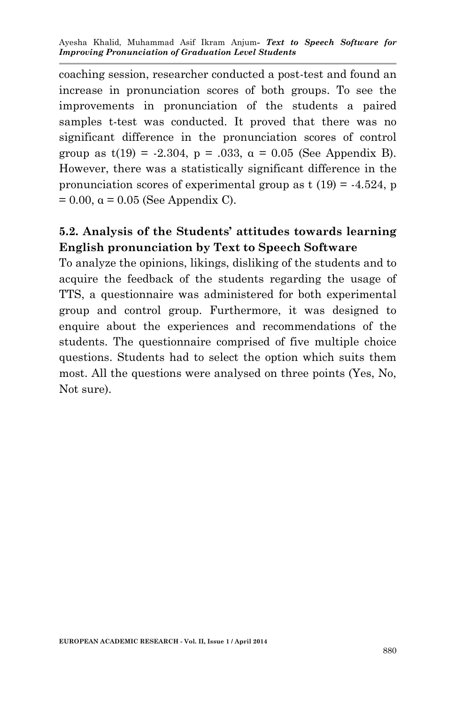coaching session, researcher conducted a post-test and found an increase in pronunciation scores of both groups. To see the improvements in pronunciation of the students a paired samples t-test was conducted. It proved that there was no significant difference in the pronunciation scores of control group as  $t(19) = -2.304$ ,  $p = .033$ ,  $\alpha = 0.05$  (See Appendix B). However, there was a statistically significant difference in the pronunciation scores of experimental group as  $t(19) = -4.524$ , p  $= 0.00$ ,  $\alpha = 0.05$  (See Appendix C).

# **5.2. Analysis of the Students' attitudes towards learning English pronunciation by Text to Speech Software**

To analyze the opinions, likings, disliking of the students and to acquire the feedback of the students regarding the usage of TTS, a questionnaire was administered for both experimental group and control group. Furthermore, it was designed to enquire about the experiences and recommendations of the students. The questionnaire comprised of five multiple choice questions. Students had to select the option which suits them most. All the questions were analysed on three points (Yes, No, Not sure).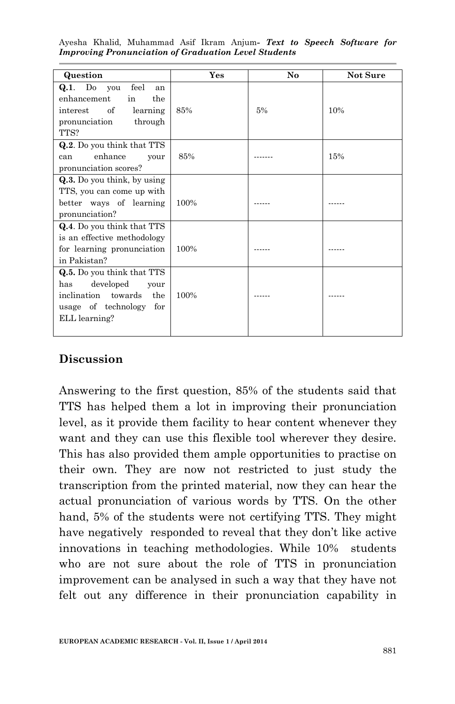| Question                                                                                                                            | Yes  | No | Not Sure |
|-------------------------------------------------------------------------------------------------------------------------------------|------|----|----------|
| $Q.1.$ Do you<br>feel<br>an<br>enhancement<br>the<br>in<br>of<br>interest<br>learning<br>pronunciation<br>through<br>TTS?           | 85%  | 5% | 10%      |
| Q.2. Do you think that TTS<br>enhance<br>can<br>your<br>pronunciation scores?                                                       | 85%  |    | 15%      |
| Q.3. Do you think, by using<br>TTS, you can come up with<br>better ways of learning<br>pronunciation?                               | 100% |    |          |
| Q.4. Do you think that TTS<br>is an effective methodology<br>for learning pronunciation<br>in Pakistan?                             | 100% |    |          |
| Q.5. Do you think that TTS<br>developed<br>has<br>your<br>inclination towards<br>the<br>usage of technology<br>for<br>ELL learning? | 100% |    |          |

# **Discussion**

Answering to the first question, 85% of the students said that TTS has helped them a lot in improving their pronunciation level, as it provide them facility to hear content whenever they want and they can use this flexible tool wherever they desire. This has also provided them ample opportunities to practise on their own. They are now not restricted to just study the transcription from the printed material, now they can hear the actual pronunciation of various words by TTS. On the other hand, 5% of the students were not certifying TTS. They might have negatively responded to reveal that they don't like active innovations in teaching methodologies. While 10% students who are not sure about the role of TTS in pronunciation improvement can be analysed in such a way that they have not felt out any difference in their pronunciation capability in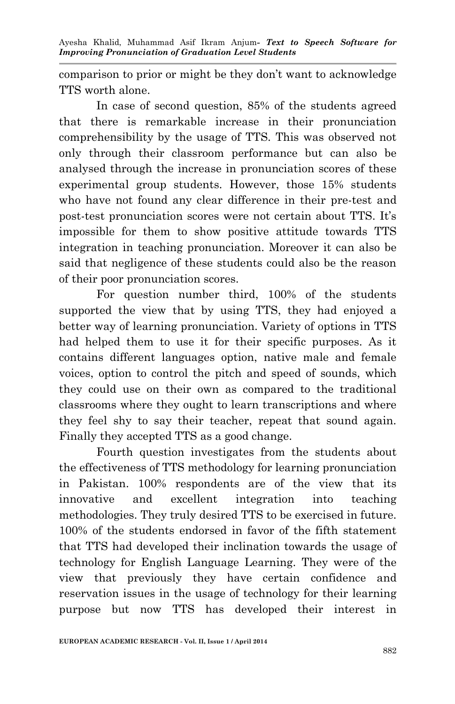comparison to prior or might be they don't want to acknowledge TTS worth alone.

In case of second question, 85% of the students agreed that there is remarkable increase in their pronunciation comprehensibility by the usage of TTS. This was observed not only through their classroom performance but can also be analysed through the increase in pronunciation scores of these experimental group students. However, those 15% students who have not found any clear difference in their pre-test and post-test pronunciation scores were not certain about TTS. It's impossible for them to show positive attitude towards TTS integration in teaching pronunciation. Moreover it can also be said that negligence of these students could also be the reason of their poor pronunciation scores.

For question number third, 100% of the students supported the view that by using TTS, they had enjoyed a better way of learning pronunciation. Variety of options in TTS had helped them to use it for their specific purposes. As it contains different languages option, native male and female voices, option to control the pitch and speed of sounds, which they could use on their own as compared to the traditional classrooms where they ought to learn transcriptions and where they feel shy to say their teacher, repeat that sound again. Finally they accepted TTS as a good change.

Fourth question investigates from the students about the effectiveness of TTS methodology for learning pronunciation in Pakistan. 100% respondents are of the view that its innovative and excellent integration into teaching methodologies. They truly desired TTS to be exercised in future. 100% of the students endorsed in favor of the fifth statement that TTS had developed their inclination towards the usage of technology for English Language Learning. They were of the view that previously they have certain confidence and reservation issues in the usage of technology for their learning purpose but now TTS has developed their interest in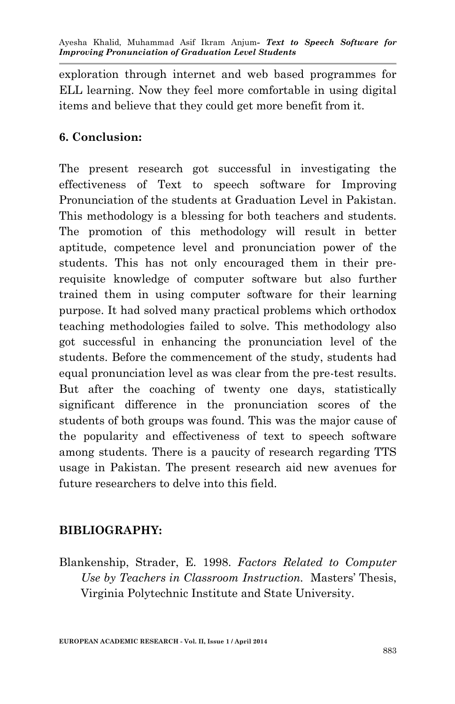exploration through internet and web based programmes for ELL learning. Now they feel more comfortable in using digital items and believe that they could get more benefit from it.

### **6. Conclusion:**

The present research got successful in investigating the effectiveness of Text to speech software for Improving Pronunciation of the students at Graduation Level in Pakistan. This methodology is a blessing for both teachers and students. The promotion of this methodology will result in better aptitude, competence level and pronunciation power of the students. This has not only encouraged them in their prerequisite knowledge of computer software but also further trained them in using computer software for their learning purpose. It had solved many practical problems which orthodox teaching methodologies failed to solve. This methodology also got successful in enhancing the pronunciation level of the students. Before the commencement of the study, students had equal pronunciation level as was clear from the pre-test results. But after the coaching of twenty one days, statistically significant difference in the pronunciation scores of the students of both groups was found. This was the major cause of the popularity and effectiveness of text to speech software among students. There is a paucity of research regarding TTS usage in Pakistan. The present research aid new avenues for future researchers to delve into this field.

### **BIBLIOGRAPHY:**

Blankenship, Strader, E. 1998. *Factors Related to Computer Use by Teachers in Classroom Instruction.* Masters' Thesis, Virginia Polytechnic Institute and State University.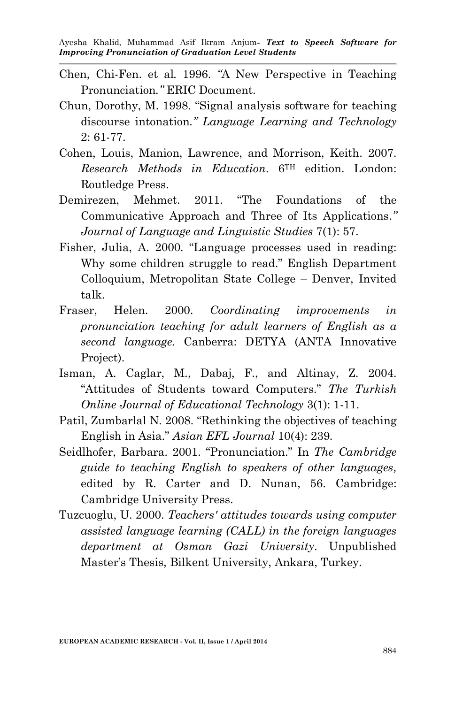- Chen, Chi-Fen. et al*.* 1996. *"*A New Perspective in Teaching Pronunciation*."* ERIC Document.
- Chun, Dorothy, M. 1998. "Signal analysis software for teaching discourse intonation*." Language Learning and Technology* 2: 61-77.
- Cohen, Louis, Manion, Lawrence, and Morrison, Keith. 2007. *Research Methods in Education*. 6TH edition. London: Routledge Press.
- Demirezen, Mehmet. 2011. "The Foundations of the Communicative Approach and Three of Its Applications.*" Journal of Language and Linguistic Studies* 7(1): 57.
- Fisher, Julia, A. 2000. "Language processes used in reading: Why some children struggle to read." English Department Colloquium, Metropolitan State College – Denver, Invited talk.
- Fraser, Helen. 2000. *Coordinating improvements in pronunciation teaching for adult learners of English as a second language.* Canberra: DETYA (ANTA Innovative Project).
- Isman, A. Caglar, M., Dabaj, F., and Altinay, Z. 2004. "Attitudes of Students toward Computers." *The Turkish Online Journal of Educational Technology* 3(1): 1-11.
- Patil, Zumbarlal N. 2008. "Rethinking the objectives of teaching English in Asia." *Asian EFL Journal* 10(4): 239.
- Seidlhofer, Barbara. 2001. "Pronunciation." In *The Cambridge guide to teaching English to speakers of other languages,*  edited by R. Carter and D. Nunan, 56. Cambridge: Cambridge University Press.
- Tuzcuoglu, U. 2000. *Teachers' attitudes towards using computer assisted language learning (CALL) in the foreign languages department at Osman Gazi University*. Unpublished Master's Thesis, Bilkent University, Ankara, Turkey.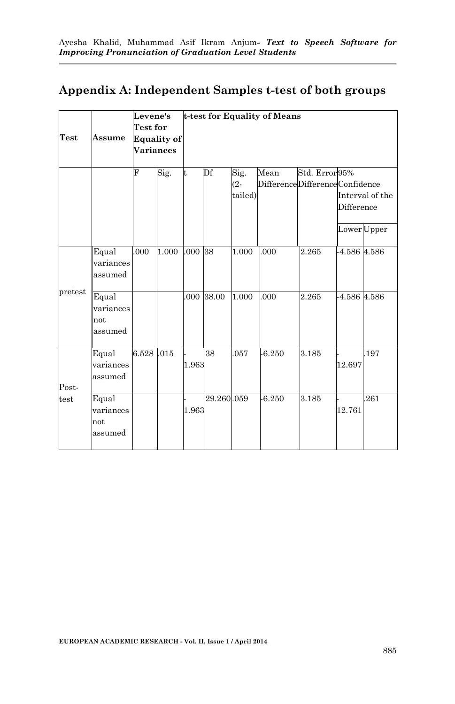### **Appendix A: Independent Samples t-test of both groups**

|             |                                      | Levene's<br><b>Test for</b> | t-test for Equality of Means |       |            |                        |                                        |                |             |                                |
|-------------|--------------------------------------|-----------------------------|------------------------------|-------|------------|------------------------|----------------------------------------|----------------|-------------|--------------------------------|
| <b>Test</b> | Assume                               | <b>Variances</b>            | <b>Equality of</b>           |       |            |                        |                                        |                |             |                                |
|             |                                      | F                           | Sig.                         | t     | Df         | Sig.<br>(2-<br>tailed) | Mean<br>DifferenceDifferenceConfidence | Std. Error 95% | Difference  | Interval of the<br>Lower Upper |
|             | Equal<br>variances<br>assumed        | .000                        | 1.000                        | .000  | 38         | 1.000                  | .000                                   | 2.265          | 4.586 4.586 |                                |
| pretest     | Equal<br>variances<br>not<br>assumed |                             |                              | 000   | 38.00      | 1.000                  | .000                                   | 2.265          | 4.586 4.586 |                                |
| Post-       | Equal<br>variances<br>assumed        | 6.528 .015                  |                              | 1.963 | 38         | 057                    | $-6.250$                               | 3.185          | 12.697      | .197                           |
| test        | Equal<br>variances<br>not<br>assumed |                             |                              | 1.963 | 29.260.059 |                        | $-6.250$                               | 3.185          | 12.761      | .261                           |

-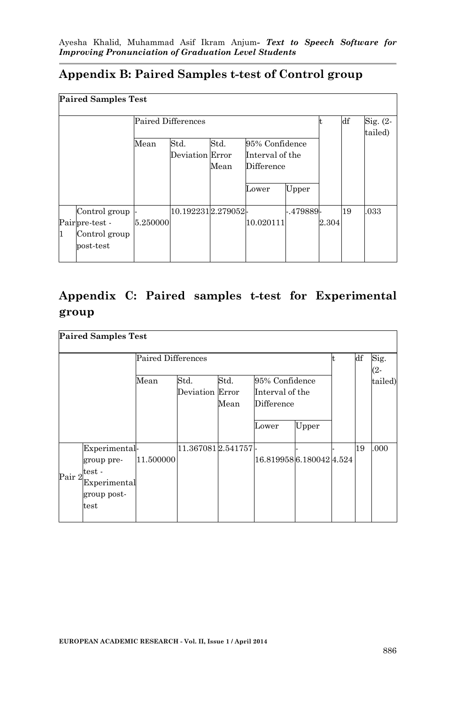### **Appendix B: Paired Samples t-test of Control group**

|   | <b>Paired Samples Test</b>                                    |                    |                         |              |                                                          |           |       |                  |                        |  |
|---|---------------------------------------------------------------|--------------------|-------------------------|--------------|----------------------------------------------------------|-----------|-------|------------------|------------------------|--|
|   |                                                               | Paired Differences |                         |              |                                                          |           |       | $_{\mathrm{df}}$ | $Sig. (2 -$<br>tailed) |  |
|   |                                                               | Mean               | Std.<br>Deviation Error | Std.<br>Mean | 95% Confidence<br>Interval of the<br>Difference<br>Lower | Upper     |       |                  |                        |  |
| 1 | Control group<br>Pairpre-test -<br>Control group<br>post-test | 5.250000           | 10.1922312.279052-      |              | 10.020111                                                | -.479889- | 2.304 | 19               | .033                   |  |

# **Appendix C: Paired samples t-test for Experimental group**

|        | <b>Paired Samples Test</b>                                                                   |                                        |                   |      |                               |       |  |    |         |
|--------|----------------------------------------------------------------------------------------------|----------------------------------------|-------------------|------|-------------------------------|-------|--|----|---------|
|        |                                                                                              | Paired Differences                     |                   | df   | Sig.<br>(2-                   |       |  |    |         |
|        |                                                                                              | Std.<br>95% Confidence<br>Mean<br>Std. |                   |      |                               |       |  |    | tailed) |
|        |                                                                                              |                                        | Deviation Error   | Mean | Interval of the<br>Difference |       |  |    |         |
|        |                                                                                              |                                        |                   |      | Lower                         | Upper |  |    |         |
| Pair 2 | Experimental<br>group pre-<br>test -<br>Experimental<br>group post-<br>$\operatorname{test}$ | 11.500000                              | 11.3670812.541757 |      | 16.8199586.1800424.524        |       |  | 19 | .000    |
|        |                                                                                              |                                        |                   |      |                               |       |  |    |         |